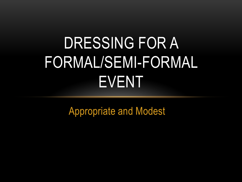#### DRESSING FOR A FORMAL/SEMI-FORMAL EVENT

Appropriate and Modest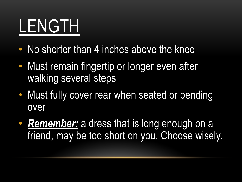#### LENGTH

- No shorter than 4 inches above the knee
- Must remain fingertip or longer even after walking several steps
- Must fully cover rear when seated or bending over
- **Remember:** a dress that is long enough on a friend, may be too short on you. Choose wisely.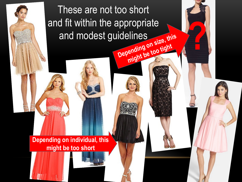These are not too short and fit within the appropriate and modest guidelines this and modest guidelines propriate<br>
Plines<br> **Propriate** this<br> **Propriate too tight**<br> **Propriate too tight** 

**Depending on individual, this might be too short**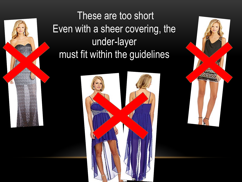These are too short Even with a sheer covering, the under-layer must fit within the guidelines



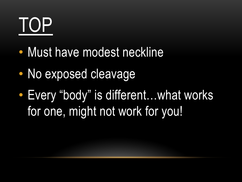## TOP

- Must have modest neckline
- No exposed cleavage
- Every "body" is different…what works for one, might not work for you!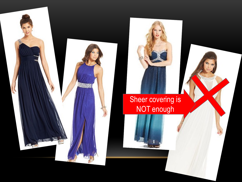

#### **Sheer covering is** NOT enough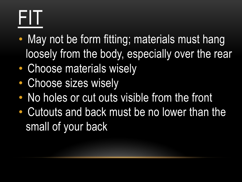## FIT

- May not be form fitting; materials must hang loosely from the body, especially over the rear
- Choose materials wisely
- Choose sizes wisely
- No holes or cut outs visible from the front
- Cutouts and back must be no lower than the small of your back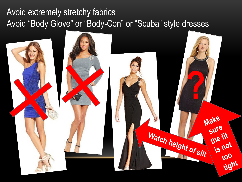#### Avoid extremely stretchy fabrics Avoid "Body Glove" or "Body-Con" or "Scuba" style dresses

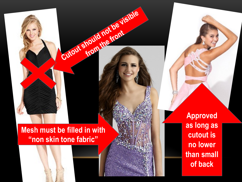**Mesh must be filled in with "non skin tone fabric"**

Cutout should not be visible

from the front

**Approved as long as cutout is no lower than small of back**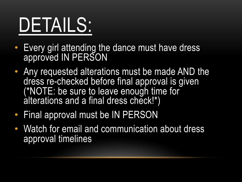## DETAILS:

- Every girl attending the dance must have dress approved IN PERSON
- Any requested alterations must be made AND the dress re-checked before final approval is given (\*NOTE: be sure to leave enough time for alterations and a final dress check!\*)
- Final approval must be IN PERSON
- Watch for email and communication about dress approval timelines